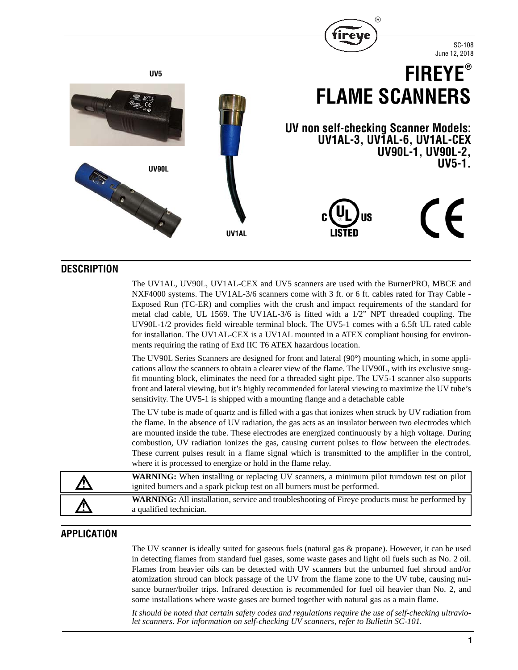

# **DESCRIPTION**

The UV1AL, UV90L, UV1AL-CEX and UV5 scanners are used with the BurnerPRO, MBCE and NXF4000 systems. The UV1AL-3/6 scanners come with 3 ft. or 6 ft. cables rated for Tray Cable -Exposed Run (TC-ER) and complies with the crush and impact requirements of the standard for metal clad cable, UL 1569. The UV1AL-3/6 is fitted with a 1/2" NPT threaded coupling. The UV90L-1/2 provides field wireable terminal block. The UV5-1 comes with a 6.5ft UL rated cable for installation. The UV1AL-CEX is a UV1AL mounted in a ATEX compliant housing for environments requiring the rating of Exd IIC T6 ATEX hazardous location.

The UV90L Series Scanners are designed for front and lateral (90°) mounting which, in some applications allow the scanners to obtain a clearer view of the flame. The UV90L, with its exclusive snugfit mounting block, eliminates the need for a threaded sight pipe. The UV5-1 scanner also supports front and lateral viewing, but it's highly recommended for lateral viewing to maximize the UV tube's sensitivity. The UV5-1 is shipped with a mounting flange and a detachable cable

The UV tube is made of quartz and is filled with a gas that ionizes when struck by UV radiation from the flame. In the absence of UV radiation, the gas acts as an insulator between two electrodes which are mounted inside the tube. These electrodes are energized continuously by a high voltage. During combustion, UV radiation ionizes the gas, causing current pulses to flow between the electrodes. These current pulses result in a flame signal which is transmitted to the amplifier in the control, where it is processed to energize or hold in the flame relay.

**WARNING:** When installing or replacing UV scanners, a minimum pilot turndown test on pilot ignited burners and a spark pickup test on all burners must be performed. **WARNING:** All installation, service and troubleshooting of Fireye products must be performed by a qualified technician.

## **APPLICATION**

The UV scanner is ideally suited for gaseous fuels (natural gas & propane). However, it can be used in detecting flames from standard fuel gases, some waste gases and light oil fuels such as No. 2 oil. Flames from heavier oils can be detected with UV scanners but the unburned fuel shroud and/or atomization shroud can block passage of the UV from the flame zone to the UV tube, causing nuisance burner/boiler trips. Infrared detection is recommended for fuel oil heavier than No. 2, and some installations where waste gases are burned together with natural gas as a main flame.

*It should be noted that certain safety codes and regulations require the use of self-checking ultraviolet scanners. For information on self-checking UV scanners, refer to Bulletin SC-101.*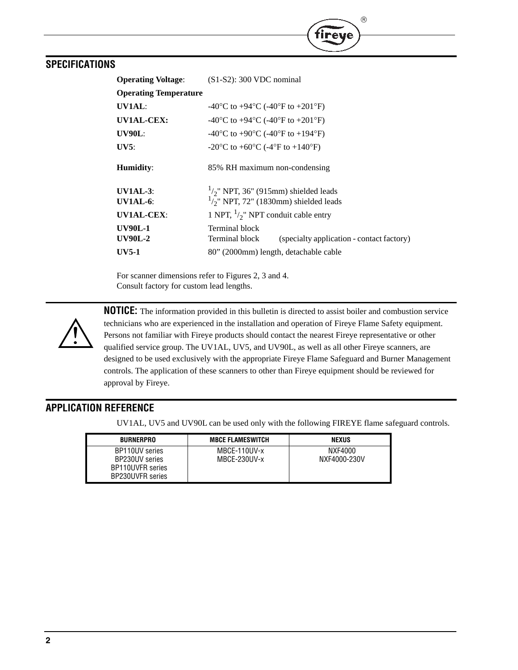# **SPECIFICATIONS**

| <b>Operating Voltage:</b>    | $(S1-S2)$ : 300 VDC nominal                                                          |
|------------------------------|--------------------------------------------------------------------------------------|
| <b>Operating Temperature</b> |                                                                                      |
| UV1AL:                       | -40°C to +94°C (-40°F to +201°F)                                                     |
| UV1AL-CEX:                   | -40 <sup>o</sup> C to +94 <sup>o</sup> C (-40 <sup>o</sup> F to +201 <sup>o</sup> F) |
| UV90L:                       | -40°C to +90°C (-40°F to +194°F)                                                     |
| UV5:                         | -20 $^{\circ}$ C to +60 $^{\circ}$ C (-4 $^{\circ}$ F to +140 $^{\circ}$ F)          |
| Humidity:                    | 85% RH maximum non-condensing                                                        |
| $UV1AL-3$ :                  | $1/2$ " NPT, 36" (915mm) shielded leads                                              |
| $UV1AL-6$                    | $\frac{1}{2}$ " NPT, 72" (1830mm) shielded leads                                     |
| <b>UV1AL-CEX:</b>            | 1 NPT, $\frac{1}{2}$ " NPT conduit cable entry                                       |
| <b>UV90L-1</b>               | Terminal block                                                                       |
| <b>UV90L-2</b>               | Terminal block<br>(specialty application - contact factory)                          |
| $UV5-1$                      | 80" (2000mm) length, detachable cable                                                |

 $^{\circledR}$ 

reve

For scanner dimensions refer to Figures 2, 3 and 4. Consult factory for custom lead lengths.



 **NOTICE:** The information provided in this bulletin is directed to assist boiler and combustion service technicians who are experienced in the installation and operation of Fireye Flame Safety equipment. Persons not familiar with Fireye products should contact the nearest Fireye representative or other qualified service group. The UV1AL, UV5, and UV90L, as well as all other Fireye scanners, are designed to be used exclusively with the appropriate Fireye Flame Safeguard and Burner Management controls. The application of these scanners to other than Fireye equipment should be reviewed for approval by Fireye.

# **APPLICATION REFERENCE**

UV1AL, UV5 and UV90L can be used only with the following FIREYE flame safeguard controls.

| <b>BURNERPRO</b>                                                                | <b>MBCE FLAMESWITCH</b>      | NEXUS                   |
|---------------------------------------------------------------------------------|------------------------------|-------------------------|
| BP110UV series<br>BP230UV series<br><b>BP110UVFR</b> series<br>BP230UVFR series | MBCE-110UV-x<br>MBCE-230UV-x | NXF4000<br>NXF4000-230V |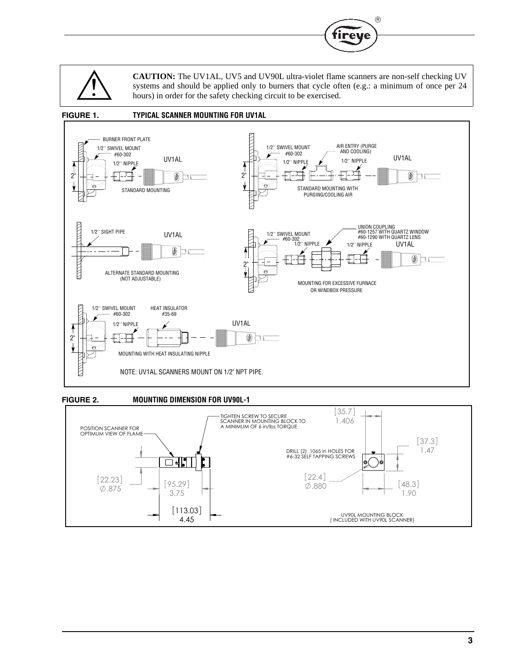

**CAUTION:** The UV1AL, UV5 and UV90L ultra-violet flame scanners are non-self checking UV systems and should be applied only to burners that cycle often (e.g.: a minimum of once per 24 hours) in order for the safety checking circuit to be exercised.

 $^{\circledR}$ 

ireve



## **FIGURE 1. TYPICAL SCANNER MOUNTING FOR UV1AL**



### **FIGURE 2. MOUNTING DIMENSION FOR UV90L-1**

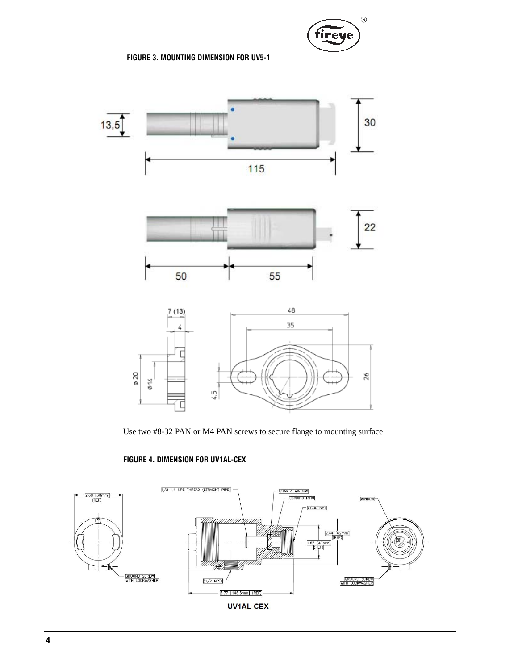

Use two #8-32 PAN or M4 PAN screws to secure flange to mounting surface

**FIGURE 4. DIMENSION FOR UV1AL-CEX**

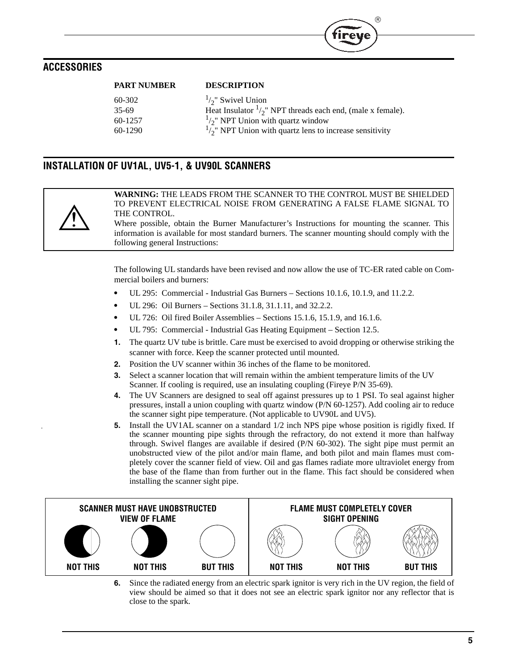# **ACCESSORIES**

| PART NUMBER | <b>DESCRIPTION</b>                                                  |
|-------------|---------------------------------------------------------------------|
| $60 - 302$  | $\frac{1}{2}$ Swivel Union                                          |
| 35-69       | Heat Insulator $\frac{1}{2}$ NPT threads each end, (male x female). |
| 60-1257     | $\frac{1}{2}$ NPT Union with quartz window                          |
| $60-1290$   | $\frac{1}{2}$ NPT Union with quartz lens to increase sensitivity    |
|             |                                                                     |

# **INSTALLATION OF UV1AL, UV5-1, & UV90L SCANNERS**

**PART NUMBER DESCRIPTION**



**WARNING:** THE LEADS FROM THE SCANNER TO THE CONTROL MUST BE SHIELDED TO PREVENT ELECTRICAL NOISE FROM GENERATING A FALSE FLAME SIGNAL TO THE CONTROL.

®

ret

Where possible, obtain the Burner Manufacturer's Instructions for mounting the scanner. This information is available for most standard burners. The scanner mounting should comply with the following general Instructions:

The following UL standards have been revised and now allow the use of TC-ER rated cable on Commercial boilers and burners:

- **•** UL 295: Commercial Industrial Gas Burners Sections 10.1.6, 10.1.9, and 11.2.2.
- **•** UL 296: Oil Burners Sections 31.1.8, 31.1.11, and 32.2.2.
- **•** UL 726: Oil fired Boiler Assemblies Sections 15.1.6, 15.1.9, and 16.1.6.
- **•** UL 795: Commercial Industrial Gas Heating Equipment Section 12.5.
- **1.** The quartz UV tube is brittle. Care must be exercised to avoid dropping or otherwise striking the scanner with force. Keep the scanner protected until mounted.
- **2.** Position the UV scanner within 36 inches of the flame to be monitored.
- **3.** Select a scanner location that will remain within the ambient temperature limits of the UV Scanner. If cooling is required, use an insulating coupling (Fireye P/N 35-69).
- **4.** The UV Scanners are designed to seal off against pressures up to 1 PSI. To seal against higher pressures, install a union coupling with quartz window (P/N 60-1257). Add cooling air to reduce the scanner sight pipe temperature. (Not applicable to UV90L and UV5).
- **5.** Install the UV1AL scanner on a standard 1/2 inch NPS pipe whose position is rigidly fixed. If the scanner mounting pipe sights through the refractory, do not extend it more than halfway through. Swivel flanges are available if desired (P/N 60-302). The sight pipe must permit an unobstructed view of the pilot and/or main flame, and both pilot and main flames must completely cover the scanner field of view. Oil and gas flames radiate more ultraviolet energy from the base of the flame than from further out in the flame. This fact should be considered when installing the scanner sight pipe.



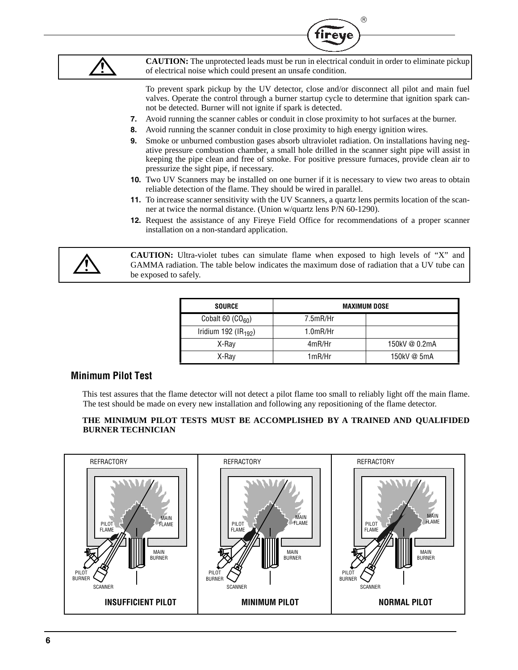| <b>CAUTION:</b> The unprotected leads must be run in electrical conduit in order to eliminate pickup<br>of electrical noise which could present an unsafe condition.                                                                                                                                                                                  |
|-------------------------------------------------------------------------------------------------------------------------------------------------------------------------------------------------------------------------------------------------------------------------------------------------------------------------------------------------------|
| To prevent spark pickup by the UV detector, close and/or disconnect all pilot and main fuel<br>valves. Operate the control through a burner startup cycle to determine that ignition spark can-<br>not be detected. Burner will not ignite if spark is detected.                                                                                      |
| Avoid running the scanner cables or conduit in close proximity to hot surfaces at the burner.<br>7.                                                                                                                                                                                                                                                   |
| Avoid running the scanner conduit in close proximity to high energy ignition wires.<br>8.                                                                                                                                                                                                                                                             |
| Smoke or unburned combustion gases absorb ultraviolet radiation. On installations having neg-<br>9.<br>ative pressure combustion chamber, a small hole drilled in the scanner sight pipe will assist in<br>keeping the pipe clean and free of smoke. For positive pressure furnaces, provide clean air to<br>pressurize the sight pipe, if necessary. |
| 10. Two UV Scanners may be installed on one burner if it is necessary to view two areas to obtain<br>reliable detection of the flame. They should be wired in parallel.                                                                                                                                                                               |
| 11. To increase scanner sensitivity with the UV Scanners, a quartz lens permits location of the scan-<br>ner at twice the normal distance. (Union w/quartz lens P/N 60-1290).                                                                                                                                                                         |
| 12. Request the assistance of any Fireye Field Office for recommendations of a proper scanner<br>installation on a non-standard application.                                                                                                                                                                                                          |

SOURCE **MAXIMUM DOSE** Cobalt 60  $(CO_{60})$  7.5mR/Hr Iridium 192 (IR<sub>192</sub>) | 1.0mR/Hr X-Ray 150kV @ 0.2mA X-Ray 1mR/Hr 150kV @ 5mA

 $\overline{\phantom{a}}$  ®

# **Minimum Pilot Test**

be exposed to safely.

This test assures that the flame detector will not detect a pilot flame too small to reliably light off the main flame. The test should be made on every new installation and following any repositioning of the flame detector.

## **THE MINIMUM PILOT TESTS MUST BE ACCOMPLISHED BY A TRAINED AND QUALIFIDED BURNER TECHNICIAN**

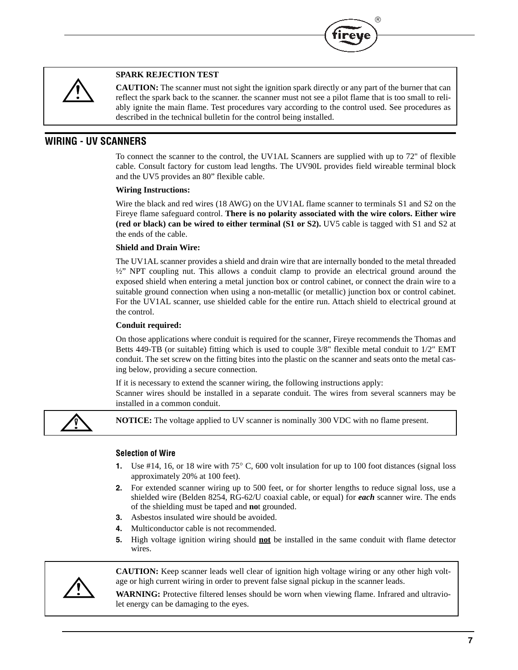

### **SPARK REJECTION TEST**

**CAUTION:** The scanner must not sight the ignition spark directly or any part of the burner that can reflect the spark back to the scanner. the scanner must not see a pilot flame that is too small to reliably ignite the main flame. Test procedures vary according to the control used. See procedures as described in the technical bulletin for the control being installed.

R

## **WIRING - UV SCANNERS**

To connect the scanner to the control, the UV1AL Scanners are supplied with up to 72" of flexible cable. Consult factory for custom lead lengths. The UV90L provides field wireable terminal block and the UV5 provides an 80" flexible cable.

### **Wiring Instructions:**

Wire the black and red wires (18 AWG) on the UV1AL flame scanner to terminals S1 and S2 on the Fireye flame safeguard control. **There is no polarity associated with the wire colors. Either wire (red or black) can be wired to either terminal (S1 or S2).** UV5 cable is tagged with S1 and S2 at the ends of the cable.

#### **Shield and Drain Wire:**

The UV1AL scanner provides a shield and drain wire that are internally bonded to the metal threaded  $\frac{1}{2}$ " NPT coupling nut. This allows a conduit clamp to provide an electrical ground around the exposed shield when entering a metal junction box or control cabinet, or connect the drain wire to a suitable ground connection when using a non-metallic (or metallic) junction box or control cabinet. For the UV1AL scanner, use shielded cable for the entire run. Attach shield to electrical ground at the control.

#### **Conduit required:**

On those applications where conduit is required for the scanner, Fireye recommends the Thomas and Betts 449-TB (or suitable) fitting which is used to couple 3/8" flexible metal conduit to 1/2" EMT conduit. The set screw on the fitting bites into the plastic on the scanner and seats onto the metal casing below, providing a secure connection.

If it is necessary to extend the scanner wiring, the following instructions apply: Scanner wires should be installed in a separate conduit. The wires from several scanners may be installed in a common conduit.



**NOTICE:** The voltage applied to UV scanner is nominally 300 VDC with no flame present.

### **Selection of Wire**

- **1.** Use #14, 16, or 18 wire with 75° C, 600 volt insulation for up to 100 foot distances (signal loss approximately 20% at 100 feet).
- **2.** For extended scanner wiring up to 500 feet, or for shorter lengths to reduce signal loss, use a shielded wire (Belden 8254, RG-62/U coaxial cable, or equal) for *each* scanner wire. The ends of the shielding must be taped and **no**t grounded.
- **3.** Asbestos insulated wire should be avoided.
- **4.** Multiconductor cable is not recommended.
- **5.** High voltage ignition wiring should **not** be installed in the same conduit with flame detector wires.



**CAUTION:** Keep scanner leads well clear of ignition high voltage wiring or any other high voltage or high current wiring in order to prevent false signal pickup in the scanner leads.

**WARNING:** Protective filtered lenses should be worn when viewing flame. Infrared and ultraviolet energy can be damaging to the eyes.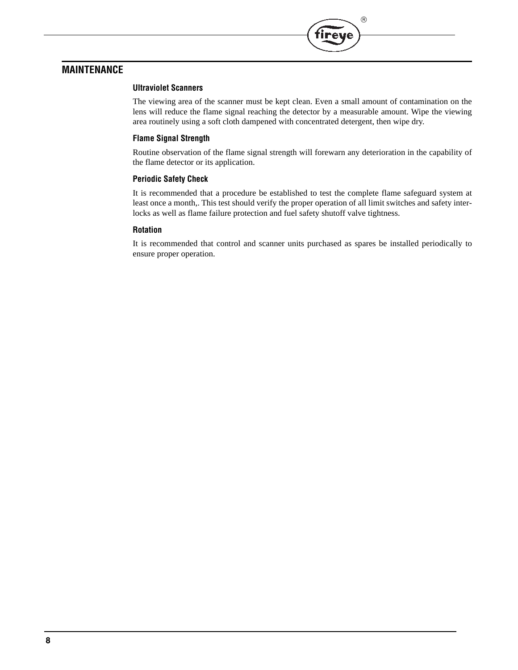# **MAINTENANCE**

### **Ultraviolet Scanners**

The viewing area of the scanner must be kept clean. Even a small amount of contamination on the lens will reduce the flame signal reaching the detector by a measurable amount. Wipe the viewing area routinely using a soft cloth dampened with concentrated detergent, then wipe dry.

 $^{\circledR}$ 

reve

### **Flame Signal Strength**

Routine observation of the flame signal strength will forewarn any deterioration in the capability of the flame detector or its application.

### **Periodic Safety Check**

It is recommended that a procedure be established to test the complete flame safeguard system at least once a month,. This test should verify the proper operation of all limit switches and safety interlocks as well as flame failure protection and fuel safety shutoff valve tightness.

### **Rotation**

It is recommended that control and scanner units purchased as spares be installed periodically to ensure proper operation.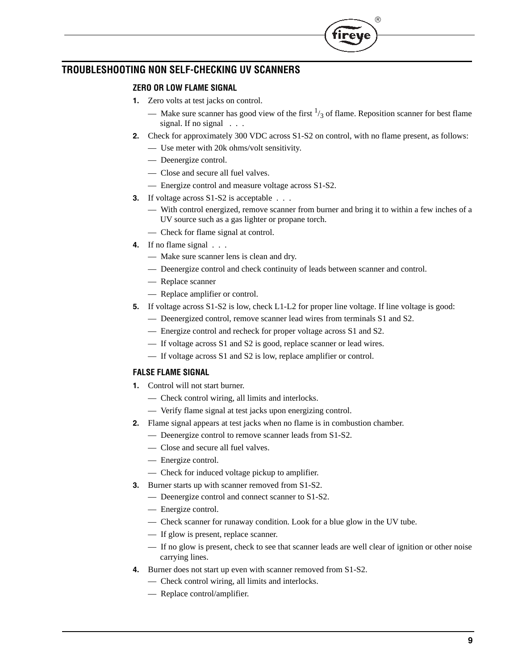

# **TROUBLESHOOTING NON SELF-CHECKING UV SCANNERS**

## **ZERO OR LOW FLAME SIGNAL**

- **1.** Zero volts at test jacks on control.
	- Make sure scanner has good view of the first  $\frac{1}{3}$  of flame. Reposition scanner for best flame signal. If no signal . . .
- **2.** Check for approximately 300 VDC across S1-S2 on control, with no flame present, as follows:
	- Use meter with 20k ohms/volt sensitivity.
	- Deenergize control.
	- Close and secure all fuel valves.
	- Energize control and measure voltage across S1-S2.
- **3.** If voltage across S1-S2 is acceptable . . .
	- With control energized, remove scanner from burner and bring it to within a few inches of a UV source such as a gas lighter or propane torch.
	- Check for flame signal at control.
- **4.** If no flame signal . . .
	- Make sure scanner lens is clean and dry.
	- Deenergize control and check continuity of leads between scanner and control.
	- Replace scanner
	- Replace amplifier or control.
- **5.** If voltage across S1-S2 is low, check L1-L2 for proper line voltage. If line voltage is good:
	- Deenergized control, remove scanner lead wires from terminals S1 and S2.
	- Energize control and recheck for proper voltage across S1 and S2.
	- If voltage across S1 and S2 is good, replace scanner or lead wires.
	- If voltage across S1 and S2 is low, replace amplifier or control.

## **FALSE FLAME SIGNAL**

- **1.** Control will not start burner.
	- Check control wiring, all limits and interlocks.
	- Verify flame signal at test jacks upon energizing control.
- **2.** Flame signal appears at test jacks when no flame is in combustion chamber.
	- Deenergize control to remove scanner leads from S1-S2.
	- Close and secure all fuel valves.
	- Energize control.
	- Check for induced voltage pickup to amplifier.
- **3.** Burner starts up with scanner removed from S1-S2.
	- Deenergize control and connect scanner to S1-S2.
	- Energize control.
	- Check scanner for runaway condition. Look for a blue glow in the UV tube.
	- If glow is present, replace scanner.
	- If no glow is present, check to see that scanner leads are well clear of ignition or other noise carrying lines.
- **4.** Burner does not start up even with scanner removed from S1-S2.
	- Check control wiring, all limits and interlocks.
	- Replace control/amplifier.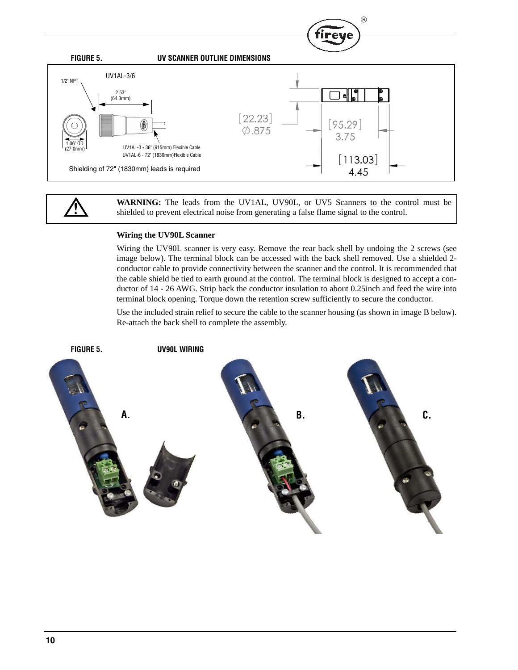

**WARNING:** The leads from the UV1AL, UV90L, or UV5 Scanners to the control must be shielded to prevent electrical noise from generating a false flame signal to the control.

### **Wiring the UV90L Scanner**

Wiring the UV90L scanner is very easy. Remove the rear back shell by undoing the 2 screws (see image below). The terminal block can be accessed with the back shell removed. Use a shielded 2 conductor cable to provide connectivity between the scanner and the control. It is recommended that the cable shield be tied to earth ground at the control. The terminal block is designed to accept a conductor of 14 - 26 AWG. Strip back the conductor insulation to about 0.25inch and feed the wire into terminal block opening. Torque down the retention screw sufficiently to secure the conductor.

Use the included strain relief to secure the cable to the scanner housing (as shown in image B below). Re-attach the back shell to complete the assembly.

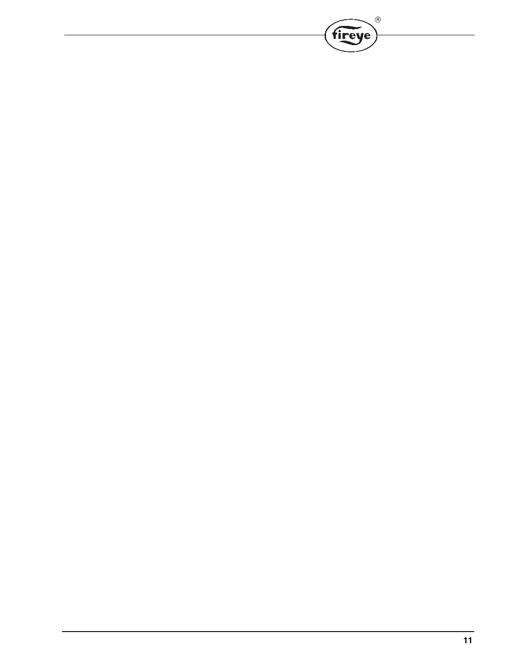